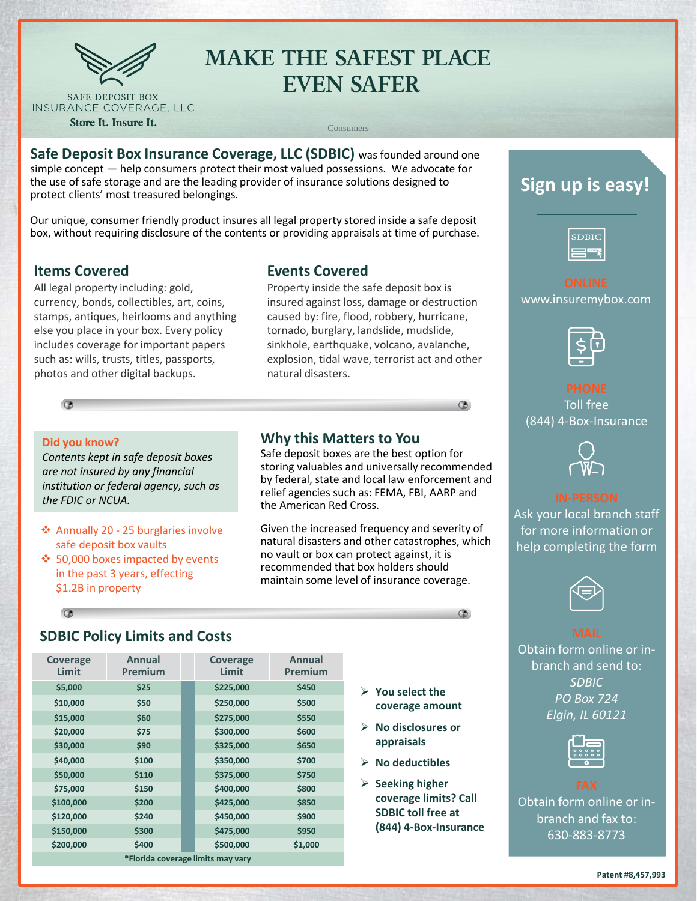

## **MAKE THE SAFEST PLACE EVEN SAFER**

**SAFE DEPOSIT BOX** INSURANCE COVERAGE, LLC Store It. Insure It.

Consumers

**Safe Deposit Box Insurance Coverage, LLC (SDBIC)** was founded around one simple concept — help consumers protect their most valued possessions. We advocate for the use of safe storage and are the leading provider of insurance solutions designed to protect clients' most treasured belongings.

Our unique, consumer friendly product insures all legal property stored inside a safe deposit box, without requiring disclosure of the contents or providing appraisals at time of purchase.

## **Items Covered**

All legal property including: gold, currency, bonds, collectibles, art, coins, stamps, antiques, heirlooms and anything else you place in your box. Every policy includes coverage for important papers such as: wills, trusts, titles, passports, photos and other digital backups.

## **Events Covered**

Property inside the safe deposit box is insured against loss, damage or destruction caused by: fire, flood, robbery, hurricane, tornado, burglary, landslide, mudslide, sinkhole, earthquake, volcano, avalanche, explosion, tidal wave, terrorist act and other natural disasters.

 $\odot$ 

### **Did you know?**

*Contents kept in safe deposit boxes are not insured by any financial institution or federal agency, such as the FDIC or NCUA.*

- Annually 20 25 burglaries involve safe deposit box vaults
- 50,000 boxes impacted by events in the past 3 years, effecting \$1.2B in property

## **Why this Matters to You**

Safe deposit boxes are the best option for storing valuables and universally recommended by federal, state and local law enforcement and relief agencies such as: FEMA, FBI, AARP and the American Red Cross.

Given the increased frequency and severity of natural disasters and other catastrophes, which no vault or box can protect against, it is recommended that box holders should maintain some level of insurance coverage.



## **SDBIC Policy Limits and Costs**

| <b>Coverage</b><br>Limit | Annual<br><b>Premium</b> | Coverage<br>Limit | <b>Annual</b><br><b>Premium</b> |
|--------------------------|--------------------------|-------------------|---------------------------------|
| \$5,000                  | \$25                     | \$225,000         | \$450                           |
| \$10,000                 | \$50                     | \$250,000         | \$500                           |
| \$15,000                 | \$60                     | \$275,000         | \$550                           |
| \$20,000                 | \$75                     | \$300,000         | \$600                           |
| \$30,000                 | \$90                     | \$325,000         | \$650                           |
| \$40,000                 | \$100                    | \$350,000         | \$700                           |
| \$50,000                 | \$110                    | \$375,000         | \$750                           |
| \$75,000                 | \$150                    | \$400,000         | \$800                           |
| \$100,000                | \$200                    | \$425,000         | \$850                           |
| \$120,000                | \$240                    | \$450,000         | \$900                           |
| \$150,000                | \$300                    | \$475,000         | \$950                           |
| \$200,000                | \$400                    | \$500,000         | \$1,000                         |

 **You select the coverage amount**

- **No disclosures or appraisals**
- **No deductibles**
- **Seeking higher coverage limits? Call SDBIC toll free at (844) 4-Box-Insurance**

## **Sign up is easy!**



# www.insuremybox.com



Toll free (844) 4-Box-Insurance



Ask your local branch staff for more information or help completing the form



Obtain form online or inbranch and send to: *SDBIC PO Box 724 Elgin, IL 60121*



Obtain form online or inbranch and fax to: 630-883-8773